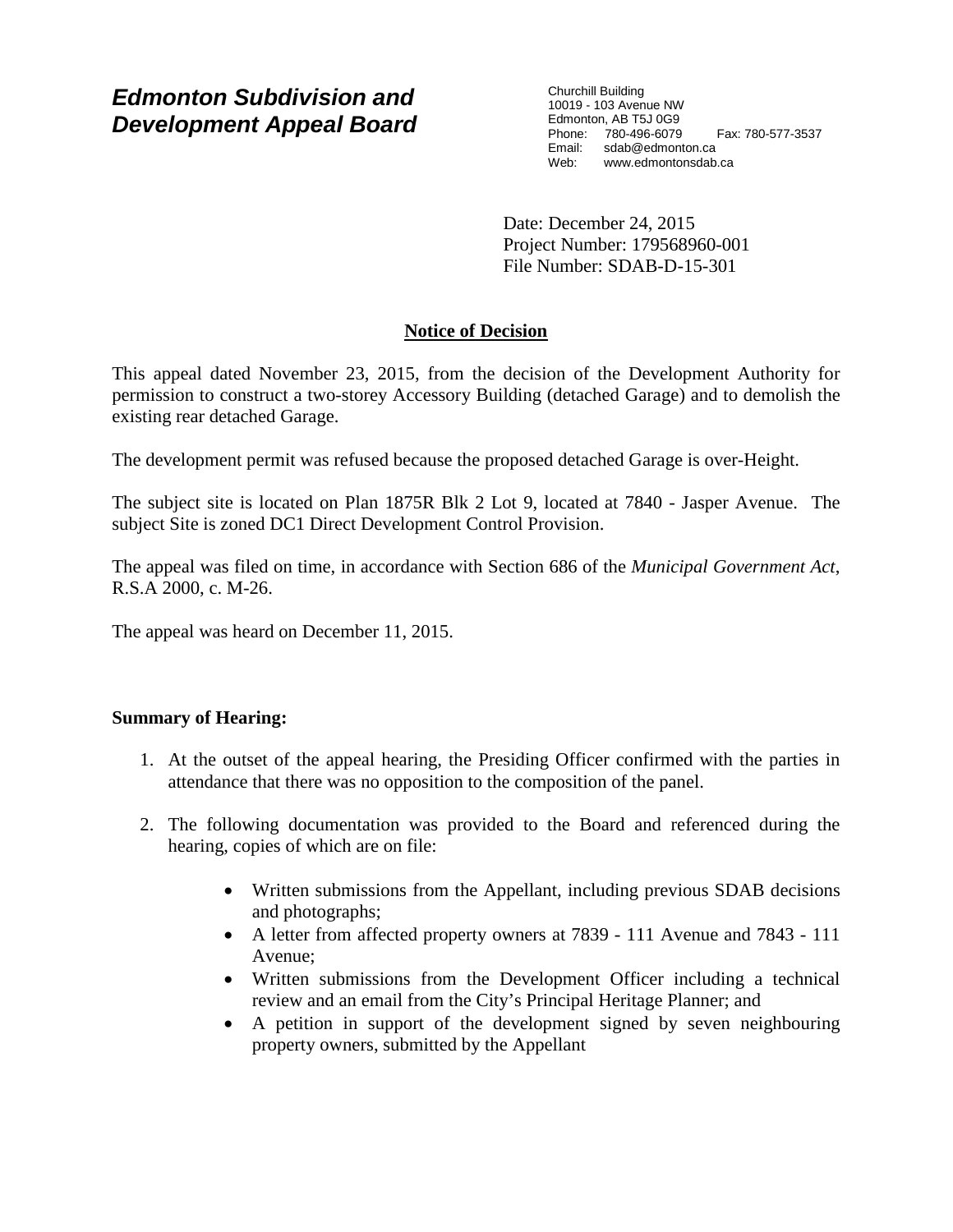# *Edmonton Subdivision and Development Appeal Board*

Churchill Building 10019 - 103 Avenue NW Edmonton, AB T5J 0G9 Phone: 780-496-6079 Fax: 780-577-3537 Email: sdab@edmonton.ca Web: www.edmontonsdab.ca

Date: December 24, 2015 Project Number: 179568960-001 File Number: SDAB-D-15-301

# **Notice of Decision**

This appeal dated November 23, 2015, from the decision of the Development Authority for permission to construct a two-storey Accessory Building (detached Garage) and to demolish the existing rear detached Garage.

The development permit was refused because the proposed detached Garage is over-Height.

The subject site is located on Plan 1875R Blk 2 Lot 9, located at 7840 - Jasper Avenue. The subject Site is zoned DC1 Direct Development Control Provision.

The appeal was filed on time, in accordance with Section 686 of the *Municipal Government Act*, R.S.A 2000, c. M-26.

The appeal was heard on December 11, 2015.

# **Summary of Hearing:**

- 1. At the outset of the appeal hearing, the Presiding Officer confirmed with the parties in attendance that there was no opposition to the composition of the panel.
- 2. The following documentation was provided to the Board and referenced during the hearing, copies of which are on file:
	- Written submissions from the Appellant, including previous SDAB decisions and photographs;
	- A letter from affected property owners at 7839 111 Avenue and 7843 111 Avenue;
	- Written submissions from the Development Officer including a technical review and an email from the City's Principal Heritage Planner; and
	- A petition in support of the development signed by seven neighbouring property owners, submitted by the Appellant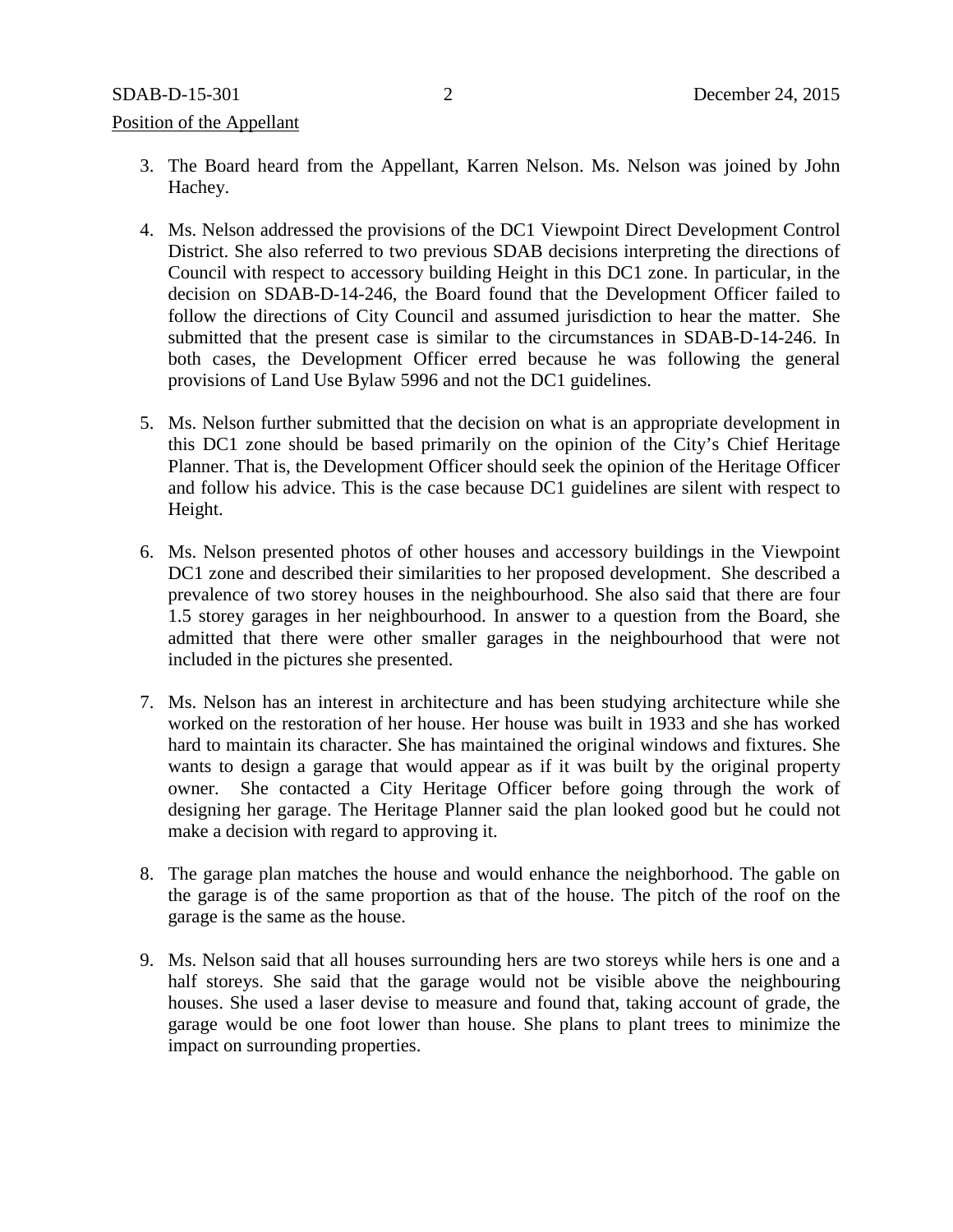#### Position of the Appellant

- 3. The Board heard from the Appellant, Karren Nelson. Ms. Nelson was joined by John Hachey.
- 4. Ms. Nelson addressed the provisions of the DC1 Viewpoint Direct Development Control District. She also referred to two previous SDAB decisions interpreting the directions of Council with respect to accessory building Height in this DC1 zone. In particular, in the decision on SDAB-D-14-246, the Board found that the Development Officer failed to follow the directions of City Council and assumed jurisdiction to hear the matter. She submitted that the present case is similar to the circumstances in SDAB-D-14-246. In both cases, the Development Officer erred because he was following the general provisions of Land Use Bylaw 5996 and not the DC1 guidelines.
- 5. Ms. Nelson further submitted that the decision on what is an appropriate development in this DC1 zone should be based primarily on the opinion of the City's Chief Heritage Planner. That is, the Development Officer should seek the opinion of the Heritage Officer and follow his advice. This is the case because DC1 guidelines are silent with respect to Height.
- 6. Ms. Nelson presented photos of other houses and accessory buildings in the Viewpoint DC1 zone and described their similarities to her proposed development. She described a prevalence of two storey houses in the neighbourhood. She also said that there are four 1.5 storey garages in her neighbourhood. In answer to a question from the Board, she admitted that there were other smaller garages in the neighbourhood that were not included in the pictures she presented.
- 7. Ms. Nelson has an interest in architecture and has been studying architecture while she worked on the restoration of her house. Her house was built in 1933 and she has worked hard to maintain its character. She has maintained the original windows and fixtures. She wants to design a garage that would appear as if it was built by the original property owner. She contacted a City Heritage Officer before going through the work of designing her garage. The Heritage Planner said the plan looked good but he could not make a decision with regard to approving it.
- 8. The garage plan matches the house and would enhance the neighborhood. The gable on the garage is of the same proportion as that of the house. The pitch of the roof on the garage is the same as the house.
- 9. Ms. Nelson said that all houses surrounding hers are two storeys while hers is one and a half storeys. She said that the garage would not be visible above the neighbouring houses. She used a laser devise to measure and found that, taking account of grade, the garage would be one foot lower than house. She plans to plant trees to minimize the impact on surrounding properties.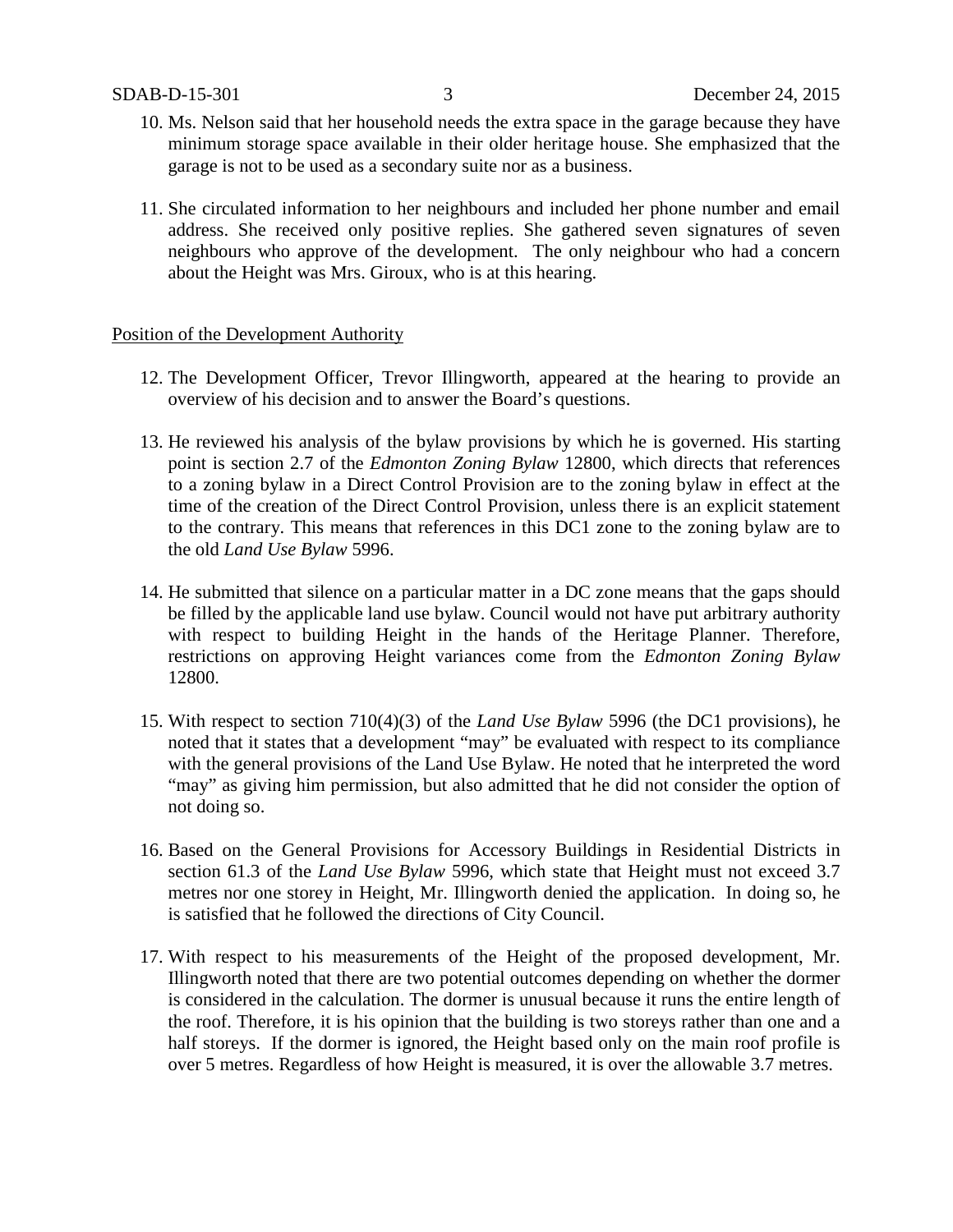- 10. Ms. Nelson said that her household needs the extra space in the garage because they have minimum storage space available in their older heritage house. She emphasized that the garage is not to be used as a secondary suite nor as a business.
- 11. She circulated information to her neighbours and included her phone number and email address. She received only positive replies. She gathered seven signatures of seven neighbours who approve of the development. The only neighbour who had a concern about the Height was Mrs. Giroux, who is at this hearing.

#### Position of the Development Authority

- 12. The Development Officer, Trevor Illingworth, appeared at the hearing to provide an overview of his decision and to answer the Board's questions.
- 13. He reviewed his analysis of the bylaw provisions by which he is governed. His starting point is section 2.7 of the *Edmonton Zoning Bylaw* 12800, which directs that references to a zoning bylaw in a Direct Control Provision are to the zoning bylaw in effect at the time of the creation of the Direct Control Provision, unless there is an explicit statement to the contrary. This means that references in this DC1 zone to the zoning bylaw are to the old *Land Use Bylaw* 5996.
- 14. He submitted that silence on a particular matter in a DC zone means that the gaps should be filled by the applicable land use bylaw. Council would not have put arbitrary authority with respect to building Height in the hands of the Heritage Planner. Therefore, restrictions on approving Height variances come from the *Edmonton Zoning Bylaw* 12800.
- 15. With respect to section 710(4)(3) of the *Land Use Bylaw* 5996 (the DC1 provisions), he noted that it states that a development "may" be evaluated with respect to its compliance with the general provisions of the Land Use Bylaw. He noted that he interpreted the word "may" as giving him permission, but also admitted that he did not consider the option of not doing so.
- 16. Based on the General Provisions for Accessory Buildings in Residential Districts in section 61.3 of the *Land Use Bylaw* 5996, which state that Height must not exceed 3.7 metres nor one storey in Height, Mr. Illingworth denied the application. In doing so, he is satisfied that he followed the directions of City Council.
- 17. With respect to his measurements of the Height of the proposed development, Mr. Illingworth noted that there are two potential outcomes depending on whether the dormer is considered in the calculation. The dormer is unusual because it runs the entire length of the roof. Therefore, it is his opinion that the building is two storeys rather than one and a half storeys. If the dormer is ignored, the Height based only on the main roof profile is over 5 metres. Regardless of how Height is measured, it is over the allowable 3.7 metres.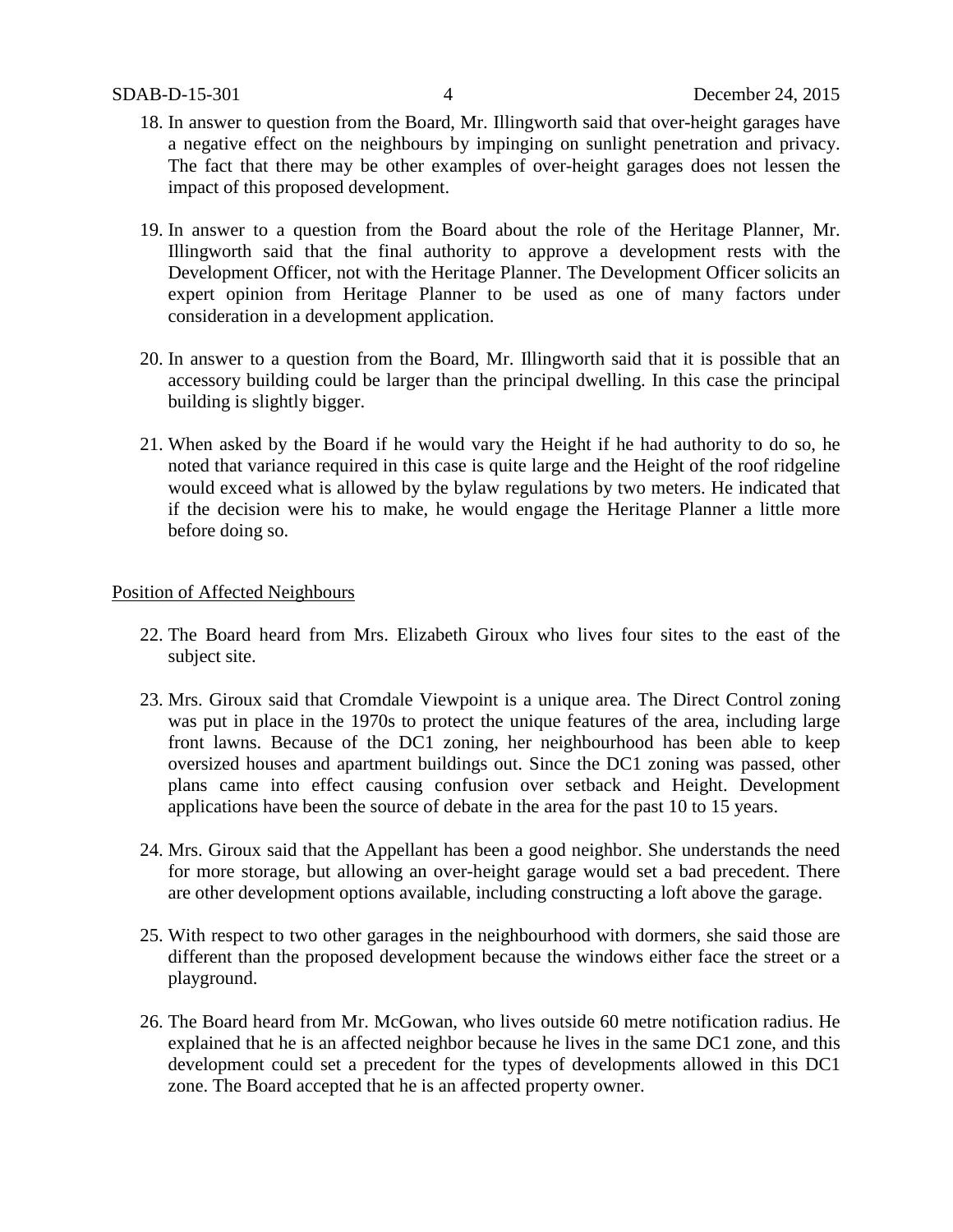- 18. In answer to question from the Board, Mr. Illingworth said that over-height garages have a negative effect on the neighbours by impinging on sunlight penetration and privacy. The fact that there may be other examples of over-height garages does not lessen the impact of this proposed development.
- 19. In answer to a question from the Board about the role of the Heritage Planner, Mr. Illingworth said that the final authority to approve a development rests with the Development Officer, not with the Heritage Planner. The Development Officer solicits an expert opinion from Heritage Planner to be used as one of many factors under consideration in a development application.
- 20. In answer to a question from the Board, Mr. Illingworth said that it is possible that an accessory building could be larger than the principal dwelling. In this case the principal building is slightly bigger.
- 21. When asked by the Board if he would vary the Height if he had authority to do so, he noted that variance required in this case is quite large and the Height of the roof ridgeline would exceed what is allowed by the bylaw regulations by two meters. He indicated that if the decision were his to make, he would engage the Heritage Planner a little more before doing so.

#### Position of Affected Neighbours

- 22. The Board heard from Mrs. Elizabeth Giroux who lives four sites to the east of the subject site.
- 23. Mrs. Giroux said that Cromdale Viewpoint is a unique area. The Direct Control zoning was put in place in the 1970s to protect the unique features of the area, including large front lawns. Because of the DC1 zoning, her neighbourhood has been able to keep oversized houses and apartment buildings out. Since the DC1 zoning was passed, other plans came into effect causing confusion over setback and Height. Development applications have been the source of debate in the area for the past 10 to 15 years.
- 24. Mrs. Giroux said that the Appellant has been a good neighbor. She understands the need for more storage, but allowing an over-height garage would set a bad precedent. There are other development options available, including constructing a loft above the garage.
- 25. With respect to two other garages in the neighbourhood with dormers, she said those are different than the proposed development because the windows either face the street or a playground.
- 26. The Board heard from Mr. McGowan, who lives outside 60 metre notification radius. He explained that he is an affected neighbor because he lives in the same DC1 zone, and this development could set a precedent for the types of developments allowed in this DC1 zone. The Board accepted that he is an affected property owner.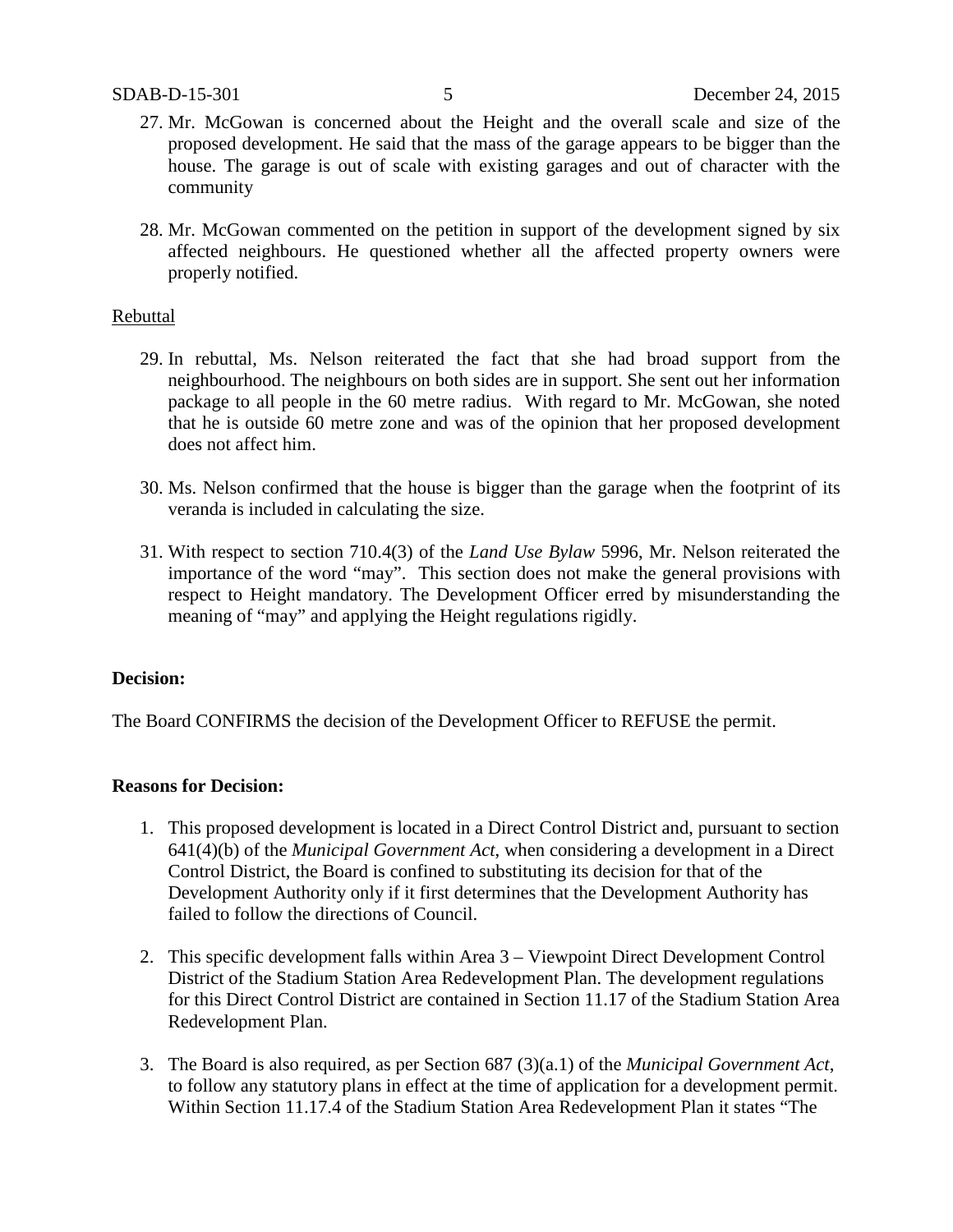- 27. Mr. McGowan is concerned about the Height and the overall scale and size of the proposed development. He said that the mass of the garage appears to be bigger than the house. The garage is out of scale with existing garages and out of character with the community
- 28. Mr. McGowan commented on the petition in support of the development signed by six affected neighbours. He questioned whether all the affected property owners were properly notified.

#### Rebuttal

- 29. In rebuttal, Ms. Nelson reiterated the fact that she had broad support from the neighbourhood. The neighbours on both sides are in support. She sent out her information package to all people in the 60 metre radius. With regard to Mr. McGowan, she noted that he is outside 60 metre zone and was of the opinion that her proposed development does not affect him.
- 30. Ms. Nelson confirmed that the house is bigger than the garage when the footprint of its veranda is included in calculating the size.
- 31. With respect to section 710.4(3) of the *Land Use Bylaw* 5996, Mr. Nelson reiterated the importance of the word "may". This section does not make the general provisions with respect to Height mandatory. The Development Officer erred by misunderstanding the meaning of "may" and applying the Height regulations rigidly.

#### **Decision:**

The Board CONFIRMS the decision of the Development Officer to REFUSE the permit.

#### **Reasons for Decision:**

- 1. This proposed development is located in a Direct Control District and, pursuant to section 641(4)(b) of the *Municipal Government Act*, when considering a development in a Direct Control District, the Board is confined to substituting its decision for that of the Development Authority only if it first determines that the Development Authority has failed to follow the directions of Council.
- 2. This specific development falls within Area 3 Viewpoint Direct Development Control District of the Stadium Station Area Redevelopment Plan. The development regulations for this Direct Control District are contained in Section 11.17 of the Stadium Station Area Redevelopment Plan.
- 3. The Board is also required, as per Section 687 (3)(a.1) of the *Municipal Government Act*, to follow any statutory plans in effect at the time of application for a development permit. Within Section 11.17.4 of the Stadium Station Area Redevelopment Plan it states "The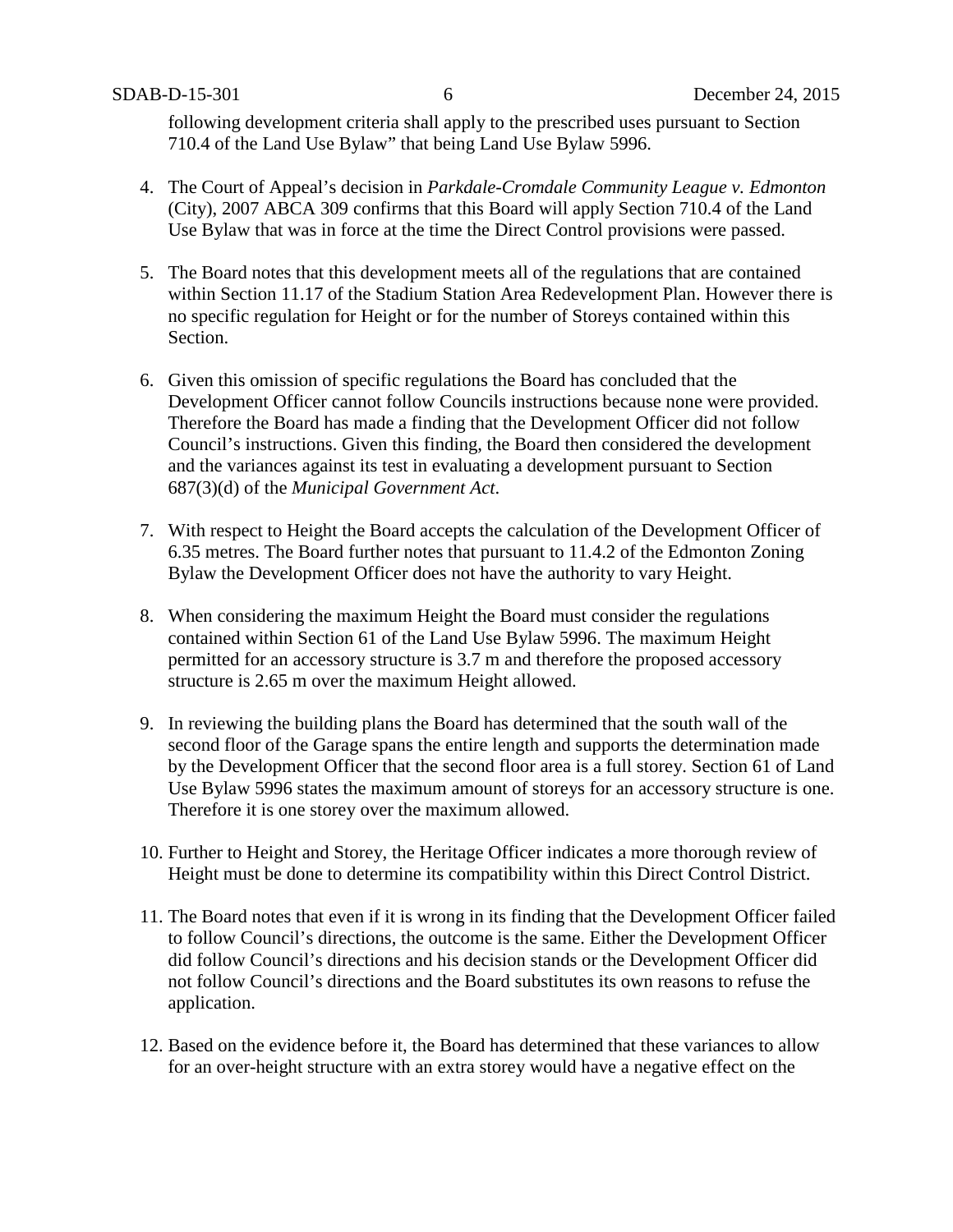following development criteria shall apply to the prescribed uses pursuant to Section 710.4 of the Land Use Bylaw" that being Land Use Bylaw 5996.

- 4. The Court of Appeal's decision in *Parkdale-Cromdale Community League v. Edmonton* (City), 2007 ABCA 309 confirms that this Board will apply Section 710.4 of the Land Use Bylaw that was in force at the time the Direct Control provisions were passed.
- 5. The Board notes that this development meets all of the regulations that are contained within Section 11.17 of the Stadium Station Area Redevelopment Plan. However there is no specific regulation for Height or for the number of Storeys contained within this Section.
- 6. Given this omission of specific regulations the Board has concluded that the Development Officer cannot follow Councils instructions because none were provided. Therefore the Board has made a finding that the Development Officer did not follow Council's instructions. Given this finding, the Board then considered the development and the variances against its test in evaluating a development pursuant to Section 687(3)(d) of the *Municipal Government Act*.
- 7. With respect to Height the Board accepts the calculation of the Development Officer of 6.35 metres. The Board further notes that pursuant to 11.4.2 of the Edmonton Zoning Bylaw the Development Officer does not have the authority to vary Height.
- 8. When considering the maximum Height the Board must consider the regulations contained within Section 61 of the Land Use Bylaw 5996. The maximum Height permitted for an accessory structure is 3.7 m and therefore the proposed accessory structure is 2.65 m over the maximum Height allowed.
- 9. In reviewing the building plans the Board has determined that the south wall of the second floor of the Garage spans the entire length and supports the determination made by the Development Officer that the second floor area is a full storey. Section 61 of Land Use Bylaw 5996 states the maximum amount of storeys for an accessory structure is one. Therefore it is one storey over the maximum allowed.
- 10. Further to Height and Storey, the Heritage Officer indicates a more thorough review of Height must be done to determine its compatibility within this Direct Control District.
- 11. The Board notes that even if it is wrong in its finding that the Development Officer failed to follow Council's directions, the outcome is the same. Either the Development Officer did follow Council's directions and his decision stands or the Development Officer did not follow Council's directions and the Board substitutes its own reasons to refuse the application.
- 12. Based on the evidence before it, the Board has determined that these variances to allow for an over-height structure with an extra storey would have a negative effect on the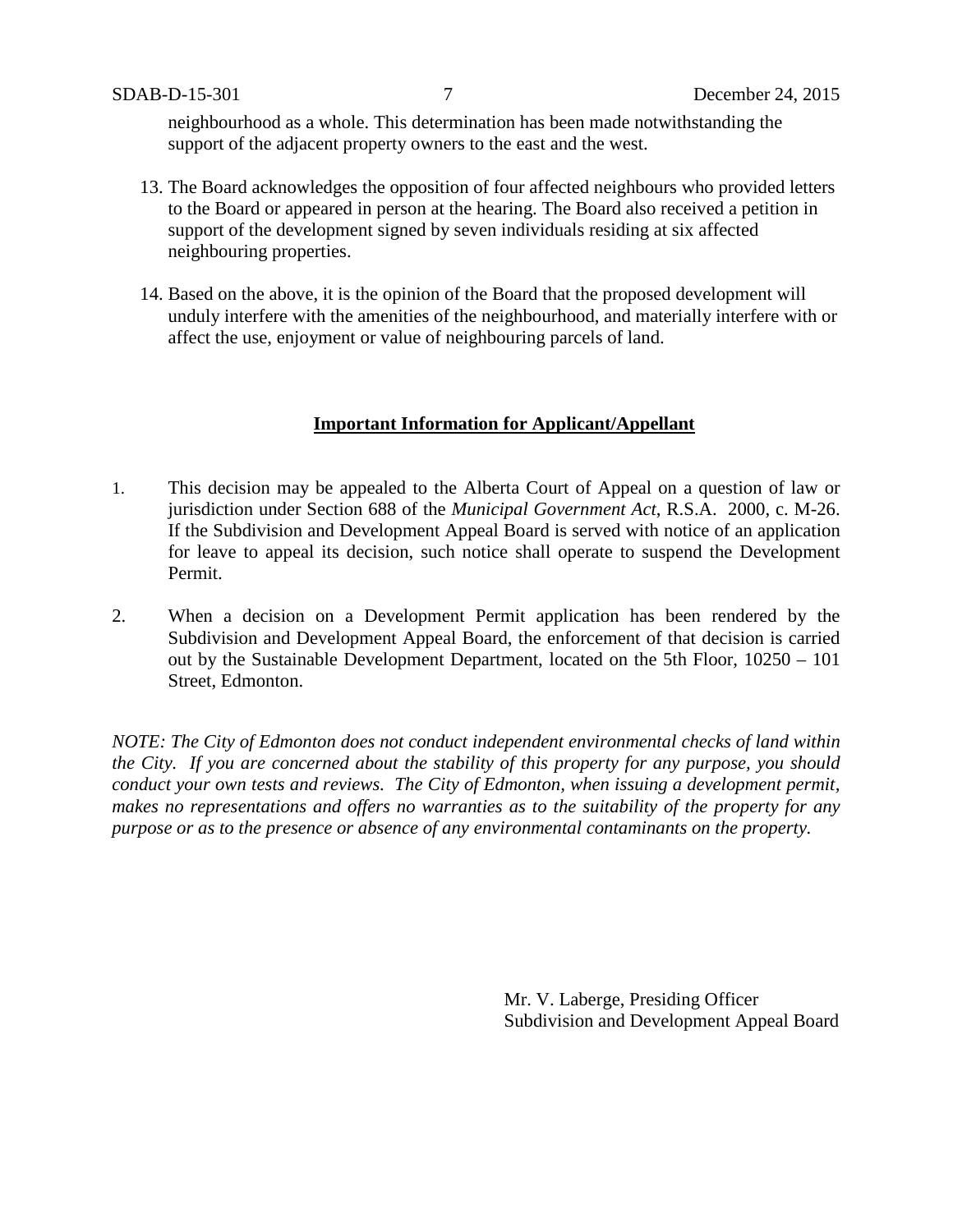neighbourhood as a whole. This determination has been made notwithstanding the support of the adjacent property owners to the east and the west.

- 13. The Board acknowledges the opposition of four affected neighbours who provided letters to the Board or appeared in person at the hearing. The Board also received a petition in support of the development signed by seven individuals residing at six affected neighbouring properties.
- 14. Based on the above, it is the opinion of the Board that the proposed development will unduly interfere with the amenities of the neighbourhood, and materially interfere with or affect the use, enjoyment or value of neighbouring parcels of land.

### **Important Information for Applicant/Appellant**

- 1. This decision may be appealed to the Alberta Court of Appeal on a question of law or jurisdiction under Section 688 of the *Municipal Government Act*, R.S.A. 2000, c. M-26. If the Subdivision and Development Appeal Board is served with notice of an application for leave to appeal its decision, such notice shall operate to suspend the Development Permit.
- 2. When a decision on a Development Permit application has been rendered by the Subdivision and Development Appeal Board, the enforcement of that decision is carried out by the Sustainable Development Department, located on the 5th Floor, 10250 – 101 Street, Edmonton.

*NOTE: The City of Edmonton does not conduct independent environmental checks of land within the City. If you are concerned about the stability of this property for any purpose, you should conduct your own tests and reviews. The City of Edmonton, when issuing a development permit, makes no representations and offers no warranties as to the suitability of the property for any purpose or as to the presence or absence of any environmental contaminants on the property.*

> Mr. V. Laberge, Presiding Officer Subdivision and Development Appeal Board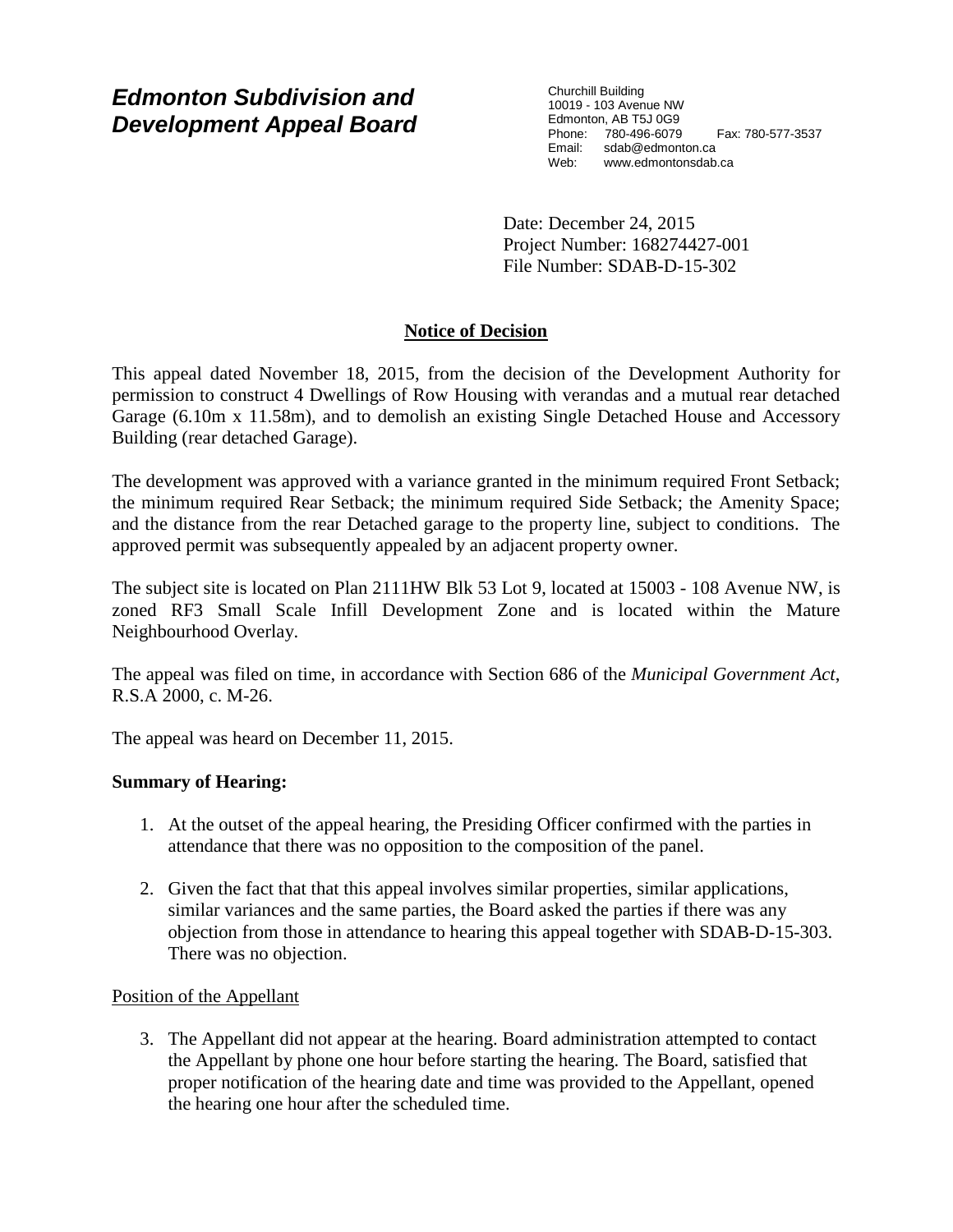# *Edmonton Subdivision and Development Appeal Board*

Churchill Building 10019 - 103 Avenue NW Edmonton, AB T5J 0G9 Phone: 780-496-6079 Fax: 780-577-3537 Email: sdab@edmonton.ca<br>Web: www.edmontonsdab Web: www.edmontonsdab.ca

Date: December 24, 2015 Project Number: 168274427-001 File Number: SDAB-D-15-302

# **Notice of Decision**

This appeal dated November 18, 2015, from the decision of the Development Authority for permission to construct 4 Dwellings of Row Housing with verandas and a mutual rear detached Garage (6.10m x 11.58m), and to demolish an existing Single Detached House and Accessory Building (rear detached Garage).

The development was approved with a variance granted in the minimum required Front Setback; the minimum required Rear Setback; the minimum required Side Setback; the Amenity Space; and the distance from the rear Detached garage to the property line, subject to conditions. The approved permit was subsequently appealed by an adjacent property owner.

The subject site is located on Plan 2111HW Blk 53 Lot 9, located at 15003 - 108 Avenue NW, is zoned RF3 Small Scale Infill Development Zone and is located within the Mature Neighbourhood Overlay.

The appeal was filed on time, in accordance with Section 686 of the *Municipal Government Act*, R.S.A 2000, c. M-26.

The appeal was heard on December 11, 2015.

## **Summary of Hearing:**

- 1. At the outset of the appeal hearing, the Presiding Officer confirmed with the parties in attendance that there was no opposition to the composition of the panel.
- 2. Given the fact that that this appeal involves similar properties, similar applications, similar variances and the same parties, the Board asked the parties if there was any objection from those in attendance to hearing this appeal together with SDAB-D-15-303. There was no objection.

#### Position of the Appellant

3. The Appellant did not appear at the hearing. Board administration attempted to contact the Appellant by phone one hour before starting the hearing. The Board, satisfied that proper notification of the hearing date and time was provided to the Appellant, opened the hearing one hour after the scheduled time.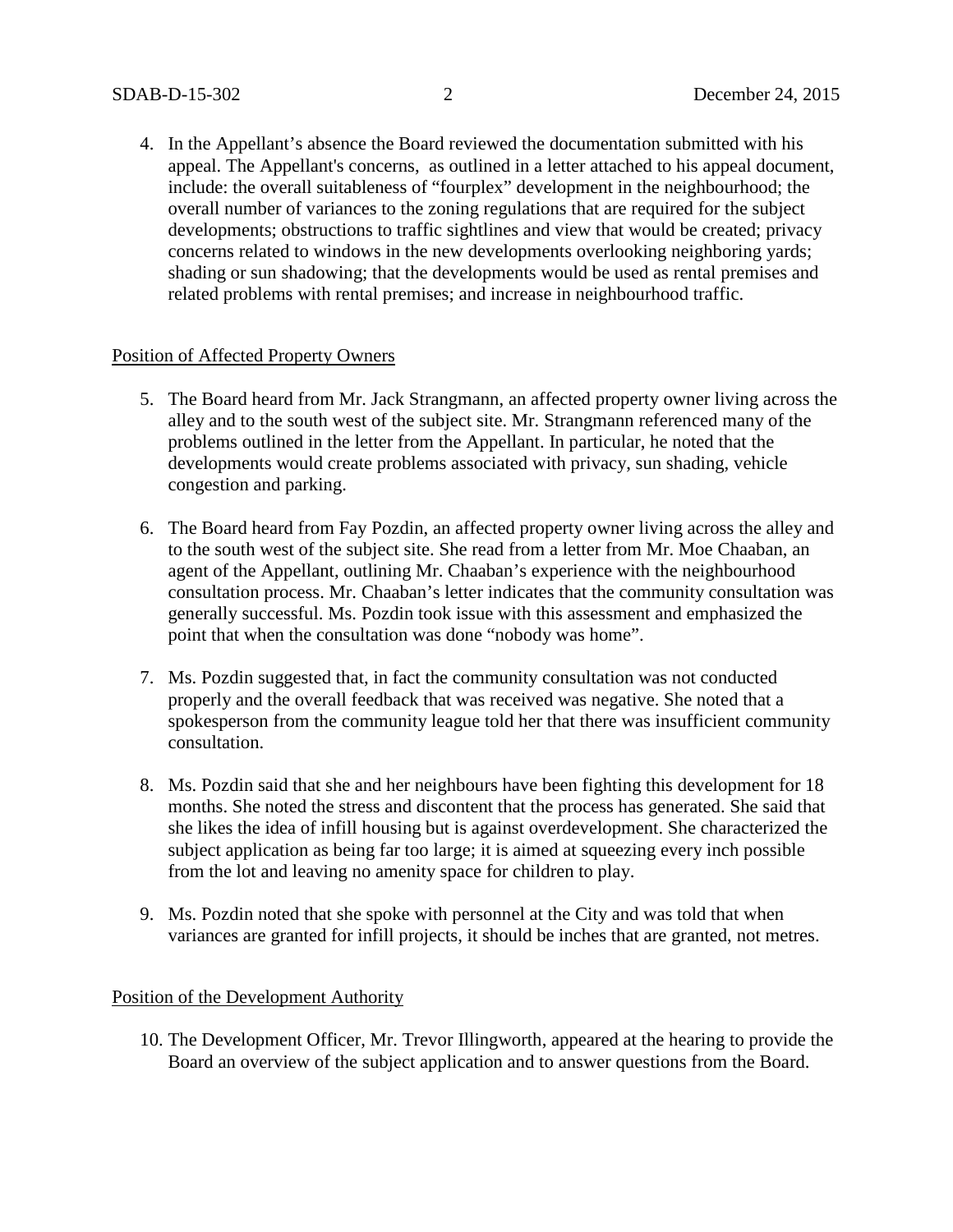4. In the Appellant's absence the Board reviewed the documentation submitted with his appeal. The Appellant's concerns, as outlined in a letter attached to his appeal document, include: the overall suitableness of "fourplex" development in the neighbourhood; the overall number of variances to the zoning regulations that are required for the subject developments; obstructions to traffic sightlines and view that would be created; privacy concerns related to windows in the new developments overlooking neighboring yards; shading or sun shadowing; that the developments would be used as rental premises and related problems with rental premises; and increase in neighbourhood traffic.

#### Position of Affected Property Owners

- 5. The Board heard from Mr. Jack Strangmann, an affected property owner living across the alley and to the south west of the subject site. Mr. Strangmann referenced many of the problems outlined in the letter from the Appellant. In particular, he noted that the developments would create problems associated with privacy, sun shading, vehicle congestion and parking.
- 6. The Board heard from Fay Pozdin, an affected property owner living across the alley and to the south west of the subject site. She read from a letter from Mr. Moe Chaaban, an agent of the Appellant, outlining Mr. Chaaban's experience with the neighbourhood consultation process. Mr. Chaaban's letter indicates that the community consultation was generally successful. Ms. Pozdin took issue with this assessment and emphasized the point that when the consultation was done "nobody was home".
- 7. Ms. Pozdin suggested that, in fact the community consultation was not conducted properly and the overall feedback that was received was negative. She noted that a spokesperson from the community league told her that there was insufficient community consultation.
- 8. Ms. Pozdin said that she and her neighbours have been fighting this development for 18 months. She noted the stress and discontent that the process has generated. She said that she likes the idea of infill housing but is against overdevelopment. She characterized the subject application as being far too large; it is aimed at squeezing every inch possible from the lot and leaving no amenity space for children to play.
- 9. Ms. Pozdin noted that she spoke with personnel at the City and was told that when variances are granted for infill projects, it should be inches that are granted, not metres.

#### Position of the Development Authority

10. The Development Officer, Mr. Trevor Illingworth, appeared at the hearing to provide the Board an overview of the subject application and to answer questions from the Board.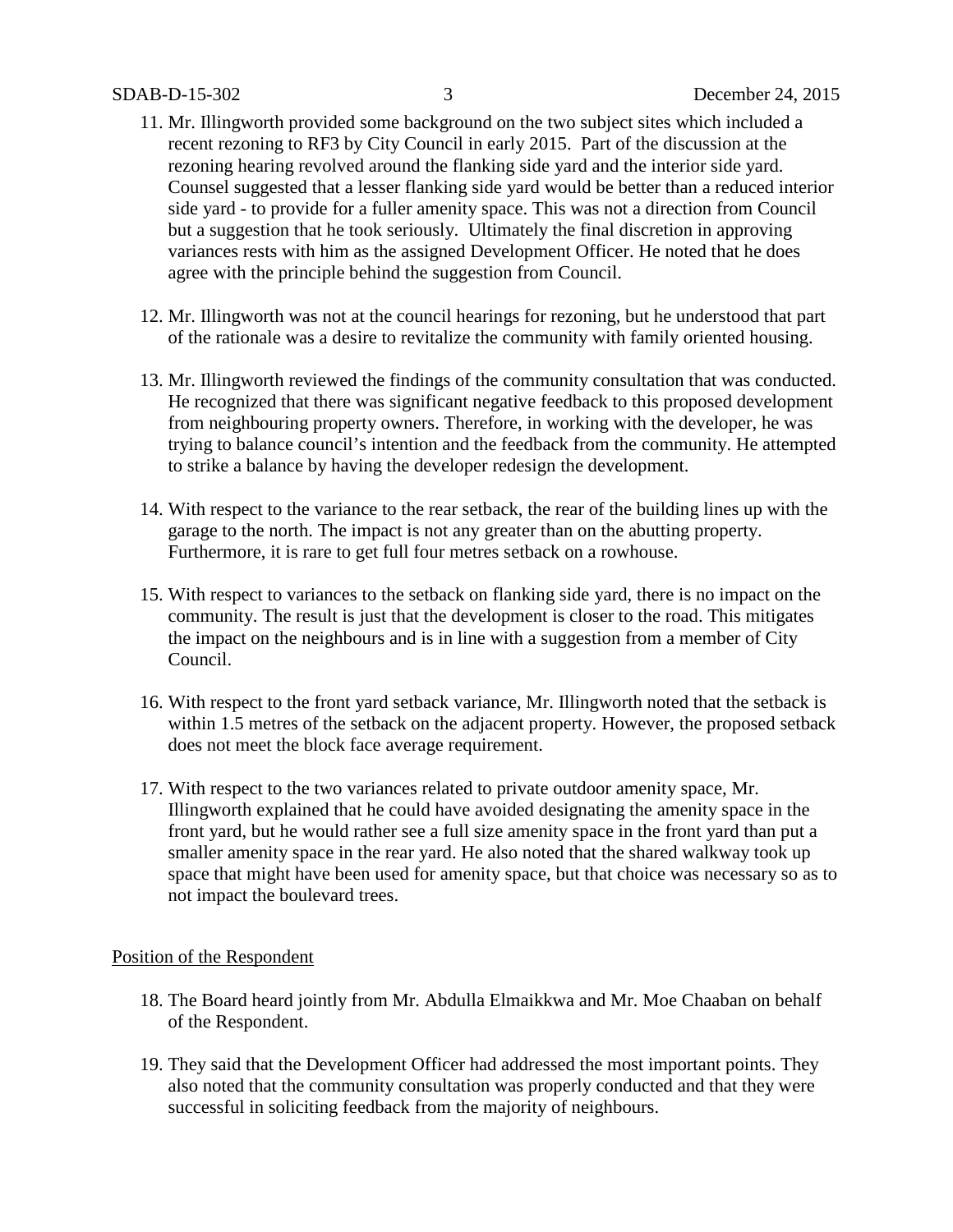- 11. Mr. Illingworth provided some background on the two subject sites which included a recent rezoning to RF3 by City Council in early 2015. Part of the discussion at the rezoning hearing revolved around the flanking side yard and the interior side yard. Counsel suggested that a lesser flanking side yard would be better than a reduced interior side yard - to provide for a fuller amenity space. This was not a direction from Council but a suggestion that he took seriously. Ultimately the final discretion in approving variances rests with him as the assigned Development Officer. He noted that he does agree with the principle behind the suggestion from Council.
- 12. Mr. Illingworth was not at the council hearings for rezoning, but he understood that part of the rationale was a desire to revitalize the community with family oriented housing.
- 13. Mr. Illingworth reviewed the findings of the community consultation that was conducted. He recognized that there was significant negative feedback to this proposed development from neighbouring property owners. Therefore, in working with the developer, he was trying to balance council's intention and the feedback from the community. He attempted to strike a balance by having the developer redesign the development.
- 14. With respect to the variance to the rear setback, the rear of the building lines up with the garage to the north. The impact is not any greater than on the abutting property. Furthermore, it is rare to get full four metres setback on a rowhouse.
- 15. With respect to variances to the setback on flanking side yard, there is no impact on the community. The result is just that the development is closer to the road. This mitigates the impact on the neighbours and is in line with a suggestion from a member of City Council.
- 16. With respect to the front yard setback variance, Mr. Illingworth noted that the setback is within 1.5 metres of the setback on the adjacent property. However, the proposed setback does not meet the block face average requirement.
- 17. With respect to the two variances related to private outdoor amenity space, Mr. Illingworth explained that he could have avoided designating the amenity space in the front yard, but he would rather see a full size amenity space in the front yard than put a smaller amenity space in the rear yard. He also noted that the shared walkway took up space that might have been used for amenity space, but that choice was necessary so as to not impact the boulevard trees.

#### Position of the Respondent

- 18. The Board heard jointly from Mr. Abdulla Elmaikkwa and Mr. Moe Chaaban on behalf of the Respondent.
- 19. They said that the Development Officer had addressed the most important points. They also noted that the community consultation was properly conducted and that they were successful in soliciting feedback from the majority of neighbours.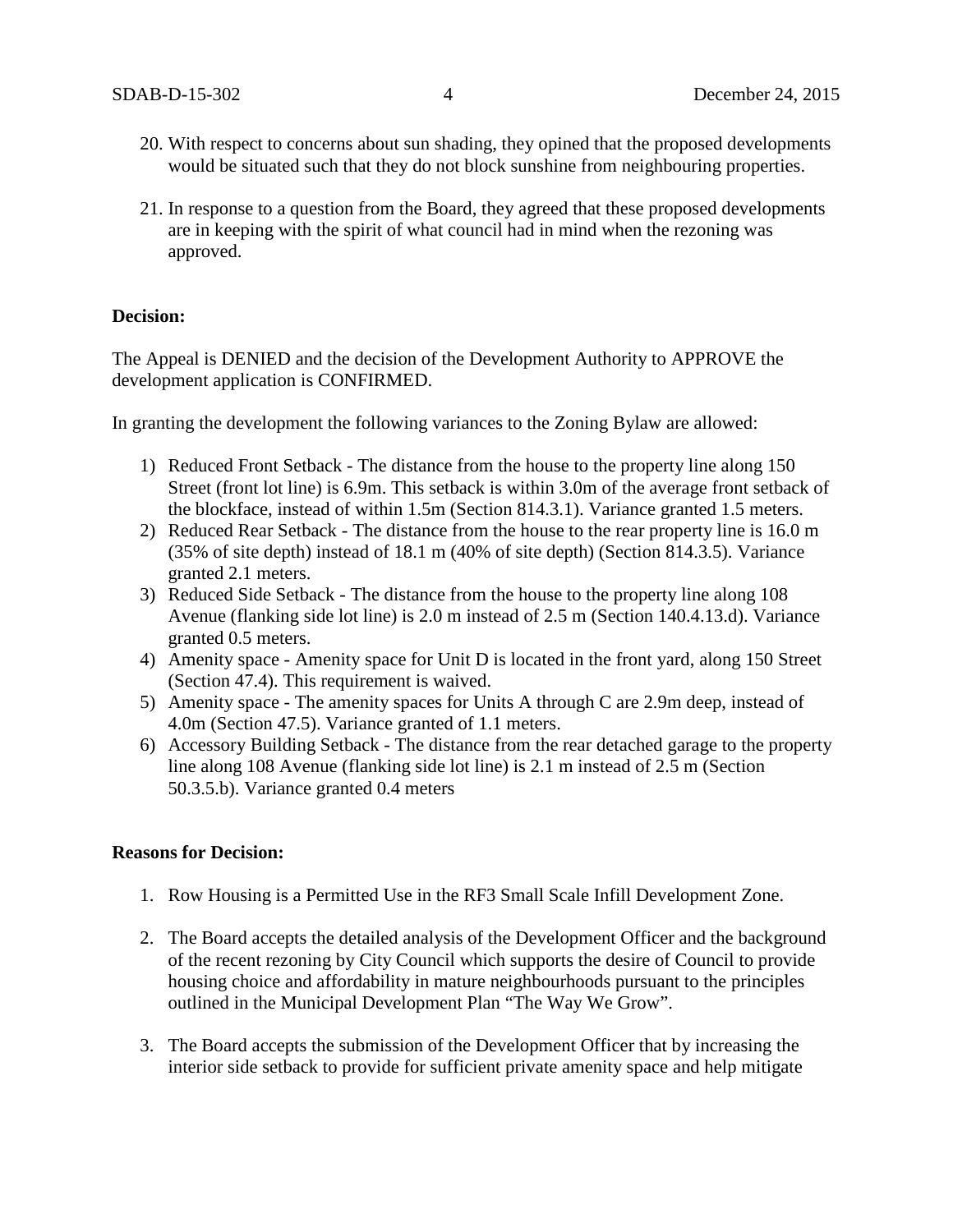- 20. With respect to concerns about sun shading, they opined that the proposed developments would be situated such that they do not block sunshine from neighbouring properties.
- 21. In response to a question from the Board, they agreed that these proposed developments are in keeping with the spirit of what council had in mind when the rezoning was approved.

#### **Decision:**

The Appeal is DENIED and the decision of the Development Authority to APPROVE the development application is CONFIRMED.

In granting the development the following variances to the Zoning Bylaw are allowed:

- 1) Reduced Front Setback The distance from the house to the property line along 150 Street (front lot line) is 6.9m. This setback is within 3.0m of the average front setback of the blockface, instead of within 1.5m (Section 814.3.1). Variance granted 1.5 meters.
- 2) Reduced Rear Setback The distance from the house to the rear property line is 16.0 m (35% of site depth) instead of 18.1 m (40% of site depth) (Section 814.3.5). Variance granted 2.1 meters.
- 3) Reduced Side Setback The distance from the house to the property line along 108 Avenue (flanking side lot line) is 2.0 m instead of 2.5 m (Section 140.4.13.d). Variance granted 0.5 meters.
- 4) Amenity space Amenity space for Unit D is located in the front yard, along 150 Street (Section 47.4). This requirement is waived.
- 5) Amenity space The amenity spaces for Units A through C are 2.9m deep, instead of 4.0m (Section 47.5). Variance granted of 1.1 meters.
- 6) Accessory Building Setback The distance from the rear detached garage to the property line along 108 Avenue (flanking side lot line) is 2.1 m instead of 2.5 m (Section 50.3.5.b). Variance granted 0.4 meters

#### **Reasons for Decision:**

- 1. Row Housing is a Permitted Use in the RF3 Small Scale Infill Development Zone.
- 2. The Board accepts the detailed analysis of the Development Officer and the background of the recent rezoning by City Council which supports the desire of Council to provide housing choice and affordability in mature neighbourhoods pursuant to the principles outlined in the Municipal Development Plan "The Way We Grow".
- 3. The Board accepts the submission of the Development Officer that by increasing the interior side setback to provide for sufficient private amenity space and help mitigate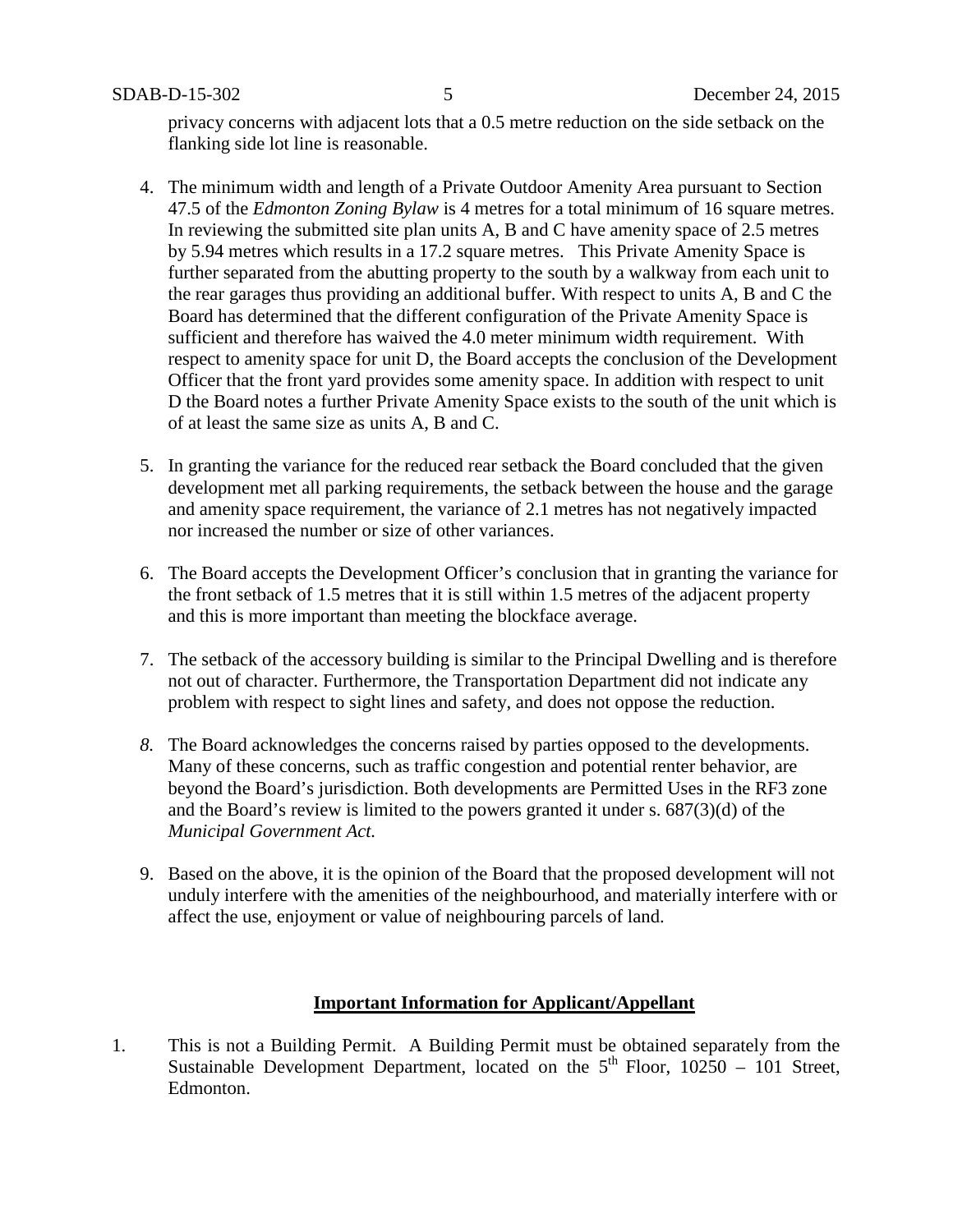privacy concerns with adjacent lots that a 0.5 metre reduction on the side setback on the flanking side lot line is reasonable.

- 4. The minimum width and length of a Private Outdoor Amenity Area pursuant to Section 47.5 of the *Edmonton Zoning Bylaw* is 4 metres for a total minimum of 16 square metres. In reviewing the submitted site plan units A, B and C have amenity space of 2.5 metres by 5.94 metres which results in a 17.2 square metres. This Private Amenity Space is further separated from the abutting property to the south by a walkway from each unit to the rear garages thus providing an additional buffer. With respect to units A, B and C the Board has determined that the different configuration of the Private Amenity Space is sufficient and therefore has waived the 4.0 meter minimum width requirement. With respect to amenity space for unit D, the Board accepts the conclusion of the Development Officer that the front yard provides some amenity space. In addition with respect to unit D the Board notes a further Private Amenity Space exists to the south of the unit which is of at least the same size as units A, B and C.
- 5. In granting the variance for the reduced rear setback the Board concluded that the given development met all parking requirements, the setback between the house and the garage and amenity space requirement, the variance of 2.1 metres has not negatively impacted nor increased the number or size of other variances.
- 6. The Board accepts the Development Officer's conclusion that in granting the variance for the front setback of 1.5 metres that it is still within 1.5 metres of the adjacent property and this is more important than meeting the blockface average.
- 7. The setback of the accessory building is similar to the Principal Dwelling and is therefore not out of character. Furthermore, the Transportation Department did not indicate any problem with respect to sight lines and safety, and does not oppose the reduction.
- *8.* The Board acknowledges the concerns raised by parties opposed to the developments. Many of these concerns, such as traffic congestion and potential renter behavior, are beyond the Board's jurisdiction. Both developments are Permitted Uses in the RF3 zone and the Board's review is limited to the powers granted it under s. 687(3)(d) of the *Municipal Government Act.*
- 9. Based on the above, it is the opinion of the Board that the proposed development will not unduly interfere with the amenities of the neighbourhood, and materially interfere with or affect the use, enjoyment or value of neighbouring parcels of land.

#### **Important Information for Applicant/Appellant**

1. This is not a Building Permit. A Building Permit must be obtained separately from the Sustainable Development Department, located on the  $5<sup>th</sup>$  Floor, 10250 – 101 Street, Edmonton.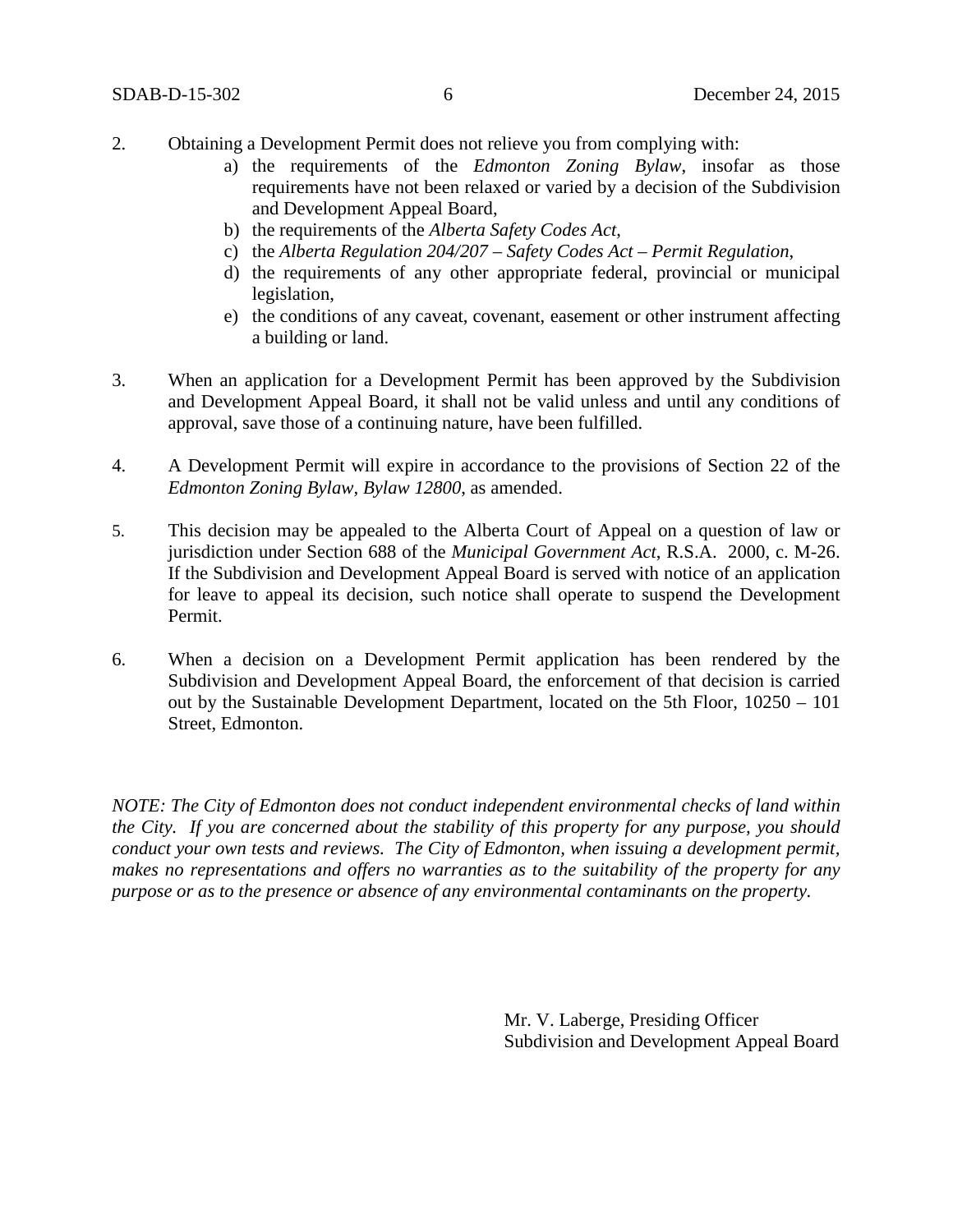- 2. Obtaining a Development Permit does not relieve you from complying with:
	- a) the requirements of the *Edmonton Zoning Bylaw*, insofar as those requirements have not been relaxed or varied by a decision of the Subdivision and Development Appeal Board,
	- b) the requirements of the *Alberta Safety Codes Act*,
	- c) the *Alberta Regulation 204/207 – Safety Codes Act – Permit Regulation*,
	- d) the requirements of any other appropriate federal, provincial or municipal legislation,
	- e) the conditions of any caveat, covenant, easement or other instrument affecting a building or land.
- 3. When an application for a Development Permit has been approved by the Subdivision and Development Appeal Board, it shall not be valid unless and until any conditions of approval, save those of a continuing nature, have been fulfilled.
- 4. A Development Permit will expire in accordance to the provisions of Section 22 of the *Edmonton Zoning Bylaw, Bylaw 12800*, as amended.
- 5. This decision may be appealed to the Alberta Court of Appeal on a question of law or jurisdiction under Section 688 of the *Municipal Government Act*, R.S.A. 2000, c. M-26. If the Subdivision and Development Appeal Board is served with notice of an application for leave to appeal its decision, such notice shall operate to suspend the Development Permit.
- 6. When a decision on a Development Permit application has been rendered by the Subdivision and Development Appeal Board, the enforcement of that decision is carried out by the Sustainable Development Department, located on the 5th Floor, 10250 – 101 Street, Edmonton.

*NOTE: The City of Edmonton does not conduct independent environmental checks of land within the City. If you are concerned about the stability of this property for any purpose, you should conduct your own tests and reviews. The City of Edmonton, when issuing a development permit, makes no representations and offers no warranties as to the suitability of the property for any purpose or as to the presence or absence of any environmental contaminants on the property.*

> Mr. V. Laberge, Presiding Officer Subdivision and Development Appeal Board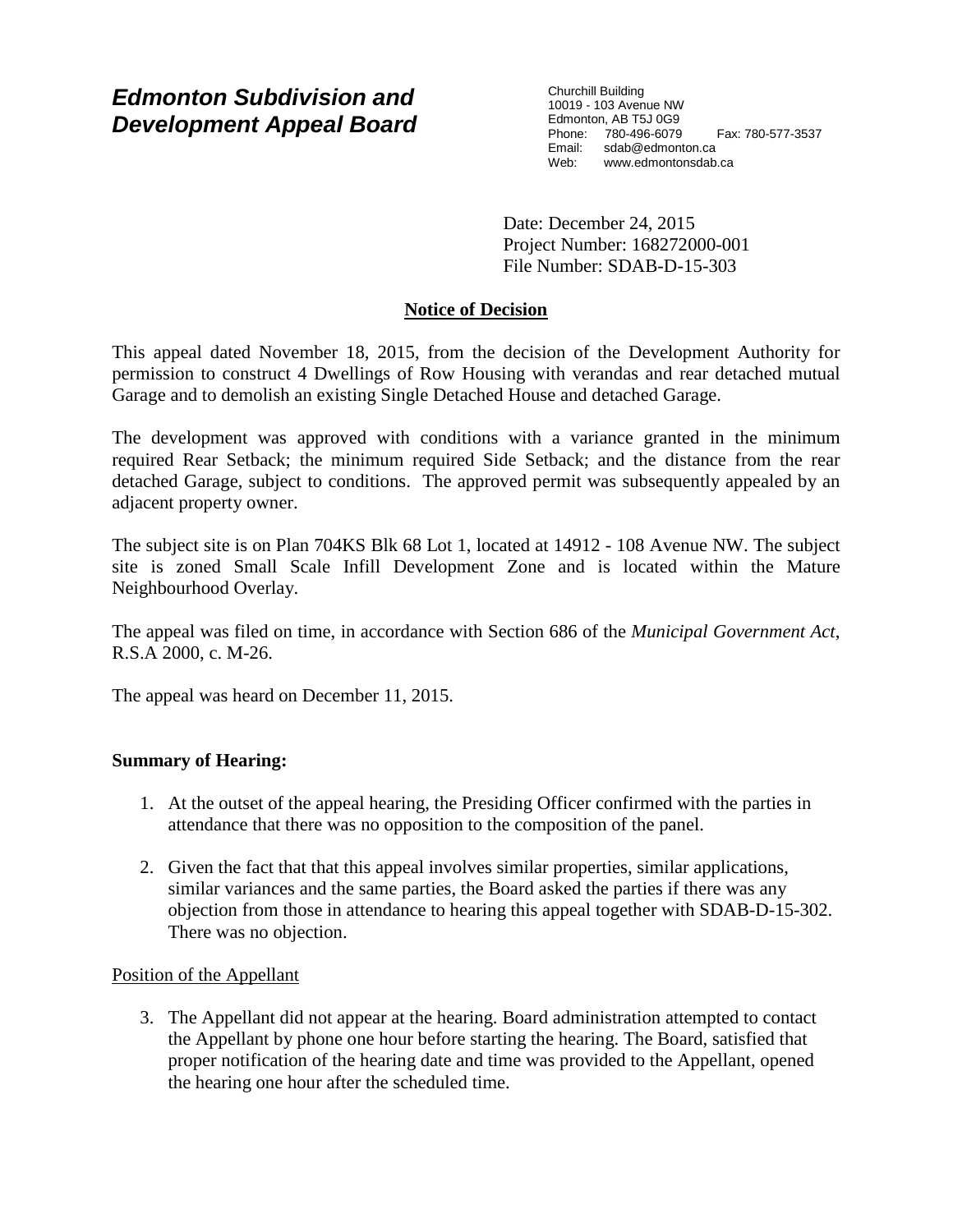# *Edmonton Subdivision and Development Appeal Board*

Churchill Building 10019 - 103 Avenue NW Edmonton, AB T5J 0G9 Phone: 780-496-6079 Fax: 780-577-3537 Email: sdab@edmonton.ca<br>Web: www.edmontonsdab Web: www.edmontonsdab.ca

Date: December 24, 2015 Project Number: 168272000-001 File Number: SDAB-D-15-303

### **Notice of Decision**

This appeal dated November 18, 2015, from the decision of the Development Authority for permission to construct 4 Dwellings of Row Housing with verandas and rear detached mutual Garage and to demolish an existing Single Detached House and detached Garage.

The development was approved with conditions with a variance granted in the minimum required Rear Setback; the minimum required Side Setback; and the distance from the rear detached Garage, subject to conditions. The approved permit was subsequently appealed by an adjacent property owner.

The subject site is on Plan 704KS Blk 68 Lot 1, located at 14912 - 108 Avenue NW. The subject site is zoned Small Scale Infill Development Zone and is located within the Mature Neighbourhood Overlay.

The appeal was filed on time, in accordance with Section 686 of the *Municipal Government Act*, R.S.A 2000, c. M-26.

The appeal was heard on December 11, 2015.

#### **Summary of Hearing:**

- 1. At the outset of the appeal hearing, the Presiding Officer confirmed with the parties in attendance that there was no opposition to the composition of the panel.
- 2. Given the fact that that this appeal involves similar properties, similar applications, similar variances and the same parties, the Board asked the parties if there was any objection from those in attendance to hearing this appeal together with SDAB-D-15-302. There was no objection.

#### Position of the Appellant

3. The Appellant did not appear at the hearing. Board administration attempted to contact the Appellant by phone one hour before starting the hearing. The Board, satisfied that proper notification of the hearing date and time was provided to the Appellant, opened the hearing one hour after the scheduled time.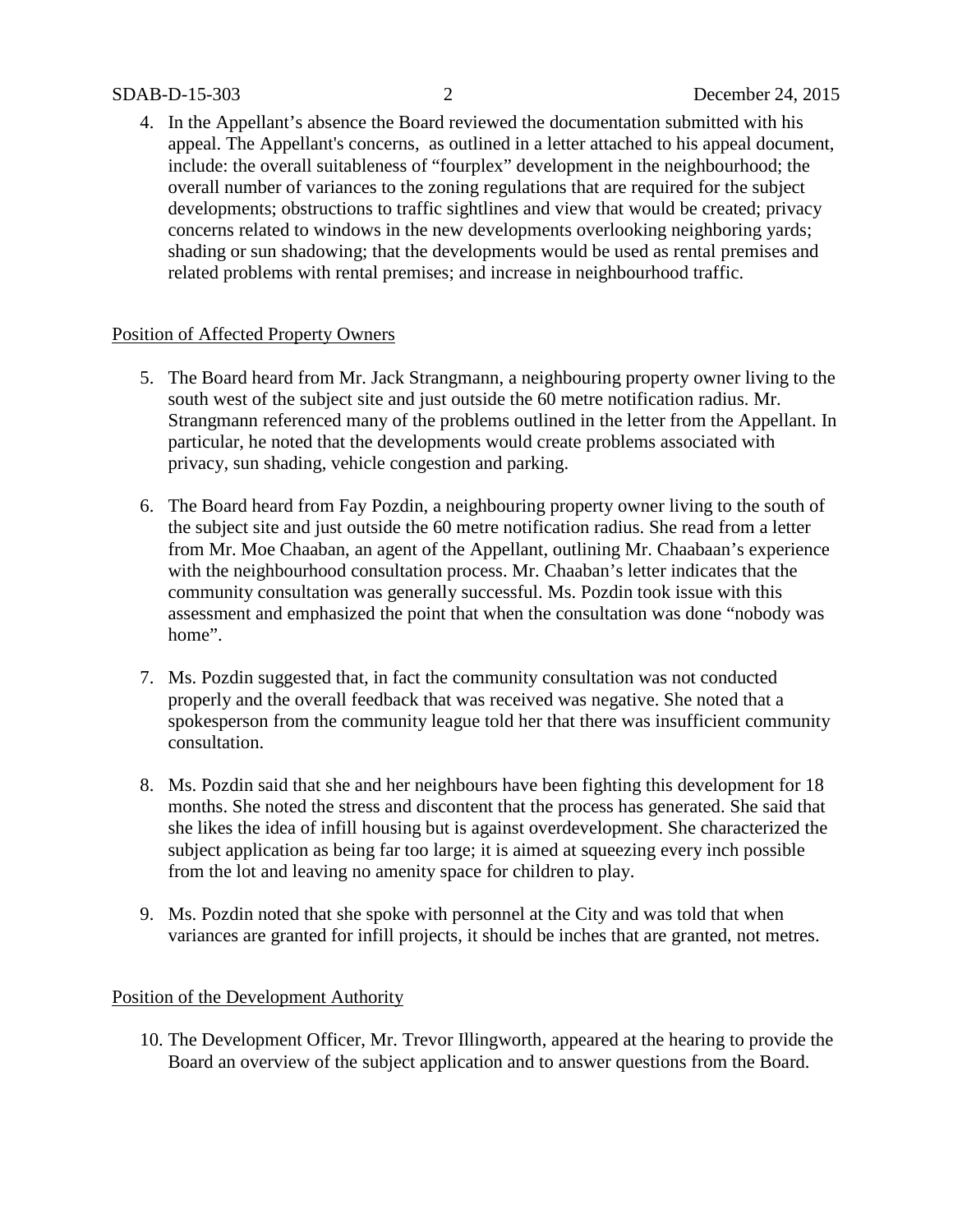4. In the Appellant's absence the Board reviewed the documentation submitted with his appeal. The Appellant's concerns, as outlined in a letter attached to his appeal document, include: the overall suitableness of "fourplex" development in the neighbourhood; the overall number of variances to the zoning regulations that are required for the subject developments; obstructions to traffic sightlines and view that would be created; privacy concerns related to windows in the new developments overlooking neighboring yards; shading or sun shadowing; that the developments would be used as rental premises and related problems with rental premises; and increase in neighbourhood traffic.

#### Position of Affected Property Owners

- 5. The Board heard from Mr. Jack Strangmann, a neighbouring property owner living to the south west of the subject site and just outside the 60 metre notification radius. Mr. Strangmann referenced many of the problems outlined in the letter from the Appellant. In particular, he noted that the developments would create problems associated with privacy, sun shading, vehicle congestion and parking.
- 6. The Board heard from Fay Pozdin, a neighbouring property owner living to the south of the subject site and just outside the 60 metre notification radius. She read from a letter from Mr. Moe Chaaban, an agent of the Appellant, outlining Mr. Chaabaan's experience with the neighbourhood consultation process. Mr. Chaaban's letter indicates that the community consultation was generally successful. Ms. Pozdin took issue with this assessment and emphasized the point that when the consultation was done "nobody was home".
- 7. Ms. Pozdin suggested that, in fact the community consultation was not conducted properly and the overall feedback that was received was negative. She noted that a spokesperson from the community league told her that there was insufficient community consultation.
- 8. Ms. Pozdin said that she and her neighbours have been fighting this development for 18 months. She noted the stress and discontent that the process has generated. She said that she likes the idea of infill housing but is against overdevelopment. She characterized the subject application as being far too large; it is aimed at squeezing every inch possible from the lot and leaving no amenity space for children to play.
- 9. Ms. Pozdin noted that she spoke with personnel at the City and was told that when variances are granted for infill projects, it should be inches that are granted, not metres.

#### Position of the Development Authority

10. The Development Officer, Mr. Trevor Illingworth, appeared at the hearing to provide the Board an overview of the subject application and to answer questions from the Board.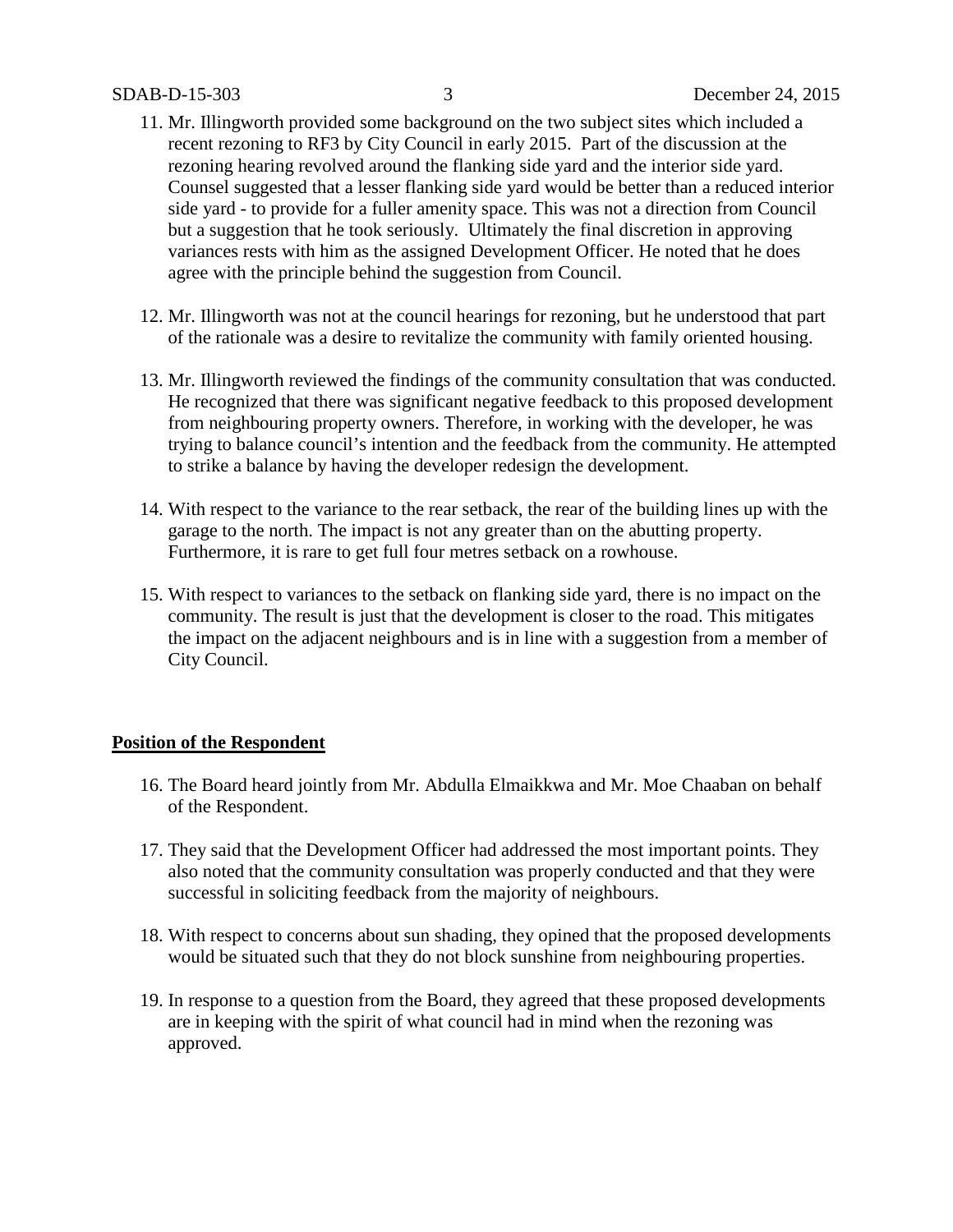- 11. Mr. Illingworth provided some background on the two subject sites which included a recent rezoning to RF3 by City Council in early 2015. Part of the discussion at the rezoning hearing revolved around the flanking side yard and the interior side yard. Counsel suggested that a lesser flanking side yard would be better than a reduced interior side yard - to provide for a fuller amenity space. This was not a direction from Council but a suggestion that he took seriously. Ultimately the final discretion in approving variances rests with him as the assigned Development Officer. He noted that he does agree with the principle behind the suggestion from Council.
- 12. Mr. Illingworth was not at the council hearings for rezoning, but he understood that part of the rationale was a desire to revitalize the community with family oriented housing.
- 13. Mr. Illingworth reviewed the findings of the community consultation that was conducted. He recognized that there was significant negative feedback to this proposed development from neighbouring property owners. Therefore, in working with the developer, he was trying to balance council's intention and the feedback from the community. He attempted to strike a balance by having the developer redesign the development.
- 14. With respect to the variance to the rear setback, the rear of the building lines up with the garage to the north. The impact is not any greater than on the abutting property. Furthermore, it is rare to get full four metres setback on a rowhouse.
- 15. With respect to variances to the setback on flanking side yard, there is no impact on the community. The result is just that the development is closer to the road. This mitigates the impact on the adjacent neighbours and is in line with a suggestion from a member of City Council.

#### **Position of the Respondent**

- 16. The Board heard jointly from Mr. Abdulla Elmaikkwa and Mr. Moe Chaaban on behalf of the Respondent.
- 17. They said that the Development Officer had addressed the most important points. They also noted that the community consultation was properly conducted and that they were successful in soliciting feedback from the majority of neighbours.
- 18. With respect to concerns about sun shading, they opined that the proposed developments would be situated such that they do not block sunshine from neighbouring properties.
- 19. In response to a question from the Board, they agreed that these proposed developments are in keeping with the spirit of what council had in mind when the rezoning was approved.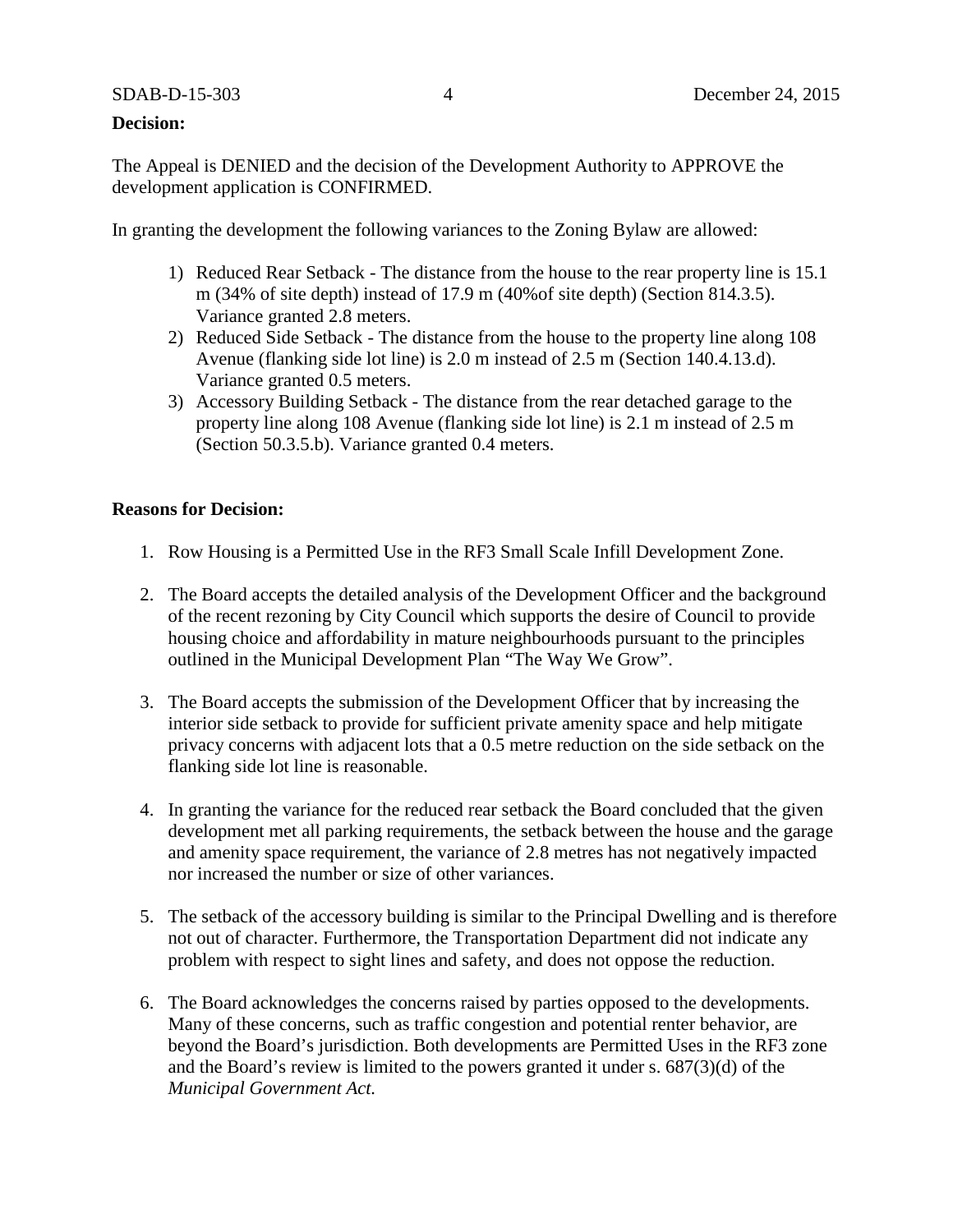### **Decision:**

The Appeal is DENIED and the decision of the Development Authority to APPROVE the development application is CONFIRMED.

In granting the development the following variances to the Zoning Bylaw are allowed:

- 1) Reduced Rear Setback The distance from the house to the rear property line is 15.1 m (34% of site depth) instead of 17.9 m (40%of site depth) (Section 814.3.5). Variance granted 2.8 meters.
- 2) Reduced Side Setback The distance from the house to the property line along 108 Avenue (flanking side lot line) is 2.0 m instead of 2.5 m (Section 140.4.13.d). Variance granted 0.5 meters.
- 3) Accessory Building Setback The distance from the rear detached garage to the property line along 108 Avenue (flanking side lot line) is 2.1 m instead of 2.5 m (Section 50.3.5.b). Variance granted 0.4 meters.

#### **Reasons for Decision:**

- 1. Row Housing is a Permitted Use in the RF3 Small Scale Infill Development Zone.
- 2. The Board accepts the detailed analysis of the Development Officer and the background of the recent rezoning by City Council which supports the desire of Council to provide housing choice and affordability in mature neighbourhoods pursuant to the principles outlined in the Municipal Development Plan "The Way We Grow".
- 3. The Board accepts the submission of the Development Officer that by increasing the interior side setback to provide for sufficient private amenity space and help mitigate privacy concerns with adjacent lots that a 0.5 metre reduction on the side setback on the flanking side lot line is reasonable.
- 4. In granting the variance for the reduced rear setback the Board concluded that the given development met all parking requirements, the setback between the house and the garage and amenity space requirement, the variance of 2.8 metres has not negatively impacted nor increased the number or size of other variances.
- 5. The setback of the accessory building is similar to the Principal Dwelling and is therefore not out of character. Furthermore, the Transportation Department did not indicate any problem with respect to sight lines and safety, and does not oppose the reduction.
- 6. The Board acknowledges the concerns raised by parties opposed to the developments. Many of these concerns, such as traffic congestion and potential renter behavior, are beyond the Board's jurisdiction. Both developments are Permitted Uses in the RF3 zone and the Board's review is limited to the powers granted it under s. 687(3)(d) of the *Municipal Government Act.*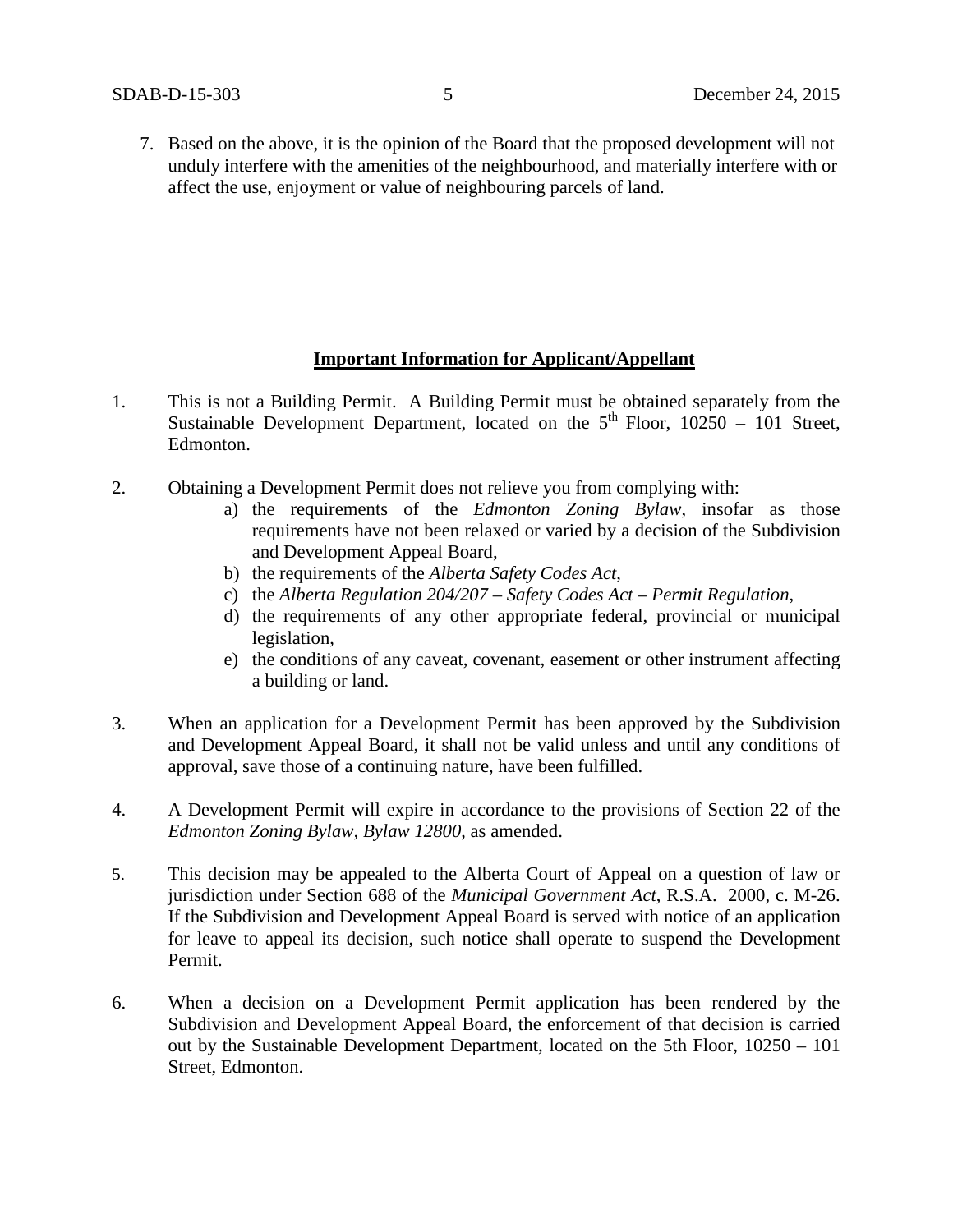7. Based on the above, it is the opinion of the Board that the proposed development will not unduly interfere with the amenities of the neighbourhood, and materially interfere with or affect the use, enjoyment or value of neighbouring parcels of land.

#### **Important Information for Applicant/Appellant**

- 1. This is not a Building Permit. A Building Permit must be obtained separately from the Sustainable Development Department, located on the  $5<sup>th</sup>$  Floor, 10250 – 101 Street, Edmonton.
- 2. Obtaining a Development Permit does not relieve you from complying with:
	- a) the requirements of the *Edmonton Zoning Bylaw*, insofar as those requirements have not been relaxed or varied by a decision of the Subdivision and Development Appeal Board,
	- b) the requirements of the *Alberta Safety Codes Act*,
	- c) the *Alberta Regulation 204/207 – Safety Codes Act – Permit Regulation*,
	- d) the requirements of any other appropriate federal, provincial or municipal legislation,
	- e) the conditions of any caveat, covenant, easement or other instrument affecting a building or land.
- 3. When an application for a Development Permit has been approved by the Subdivision and Development Appeal Board, it shall not be valid unless and until any conditions of approval, save those of a continuing nature, have been fulfilled.
- 4. A Development Permit will expire in accordance to the provisions of Section 22 of the *Edmonton Zoning Bylaw, Bylaw 12800*, as amended.
- 5. This decision may be appealed to the Alberta Court of Appeal on a question of law or jurisdiction under Section 688 of the *Municipal Government Act*, R.S.A. 2000, c. M-26. If the Subdivision and Development Appeal Board is served with notice of an application for leave to appeal its decision, such notice shall operate to suspend the Development Permit.
- 6. When a decision on a Development Permit application has been rendered by the Subdivision and Development Appeal Board, the enforcement of that decision is carried out by the Sustainable Development Department, located on the 5th Floor, 10250 – 101 Street, Edmonton.